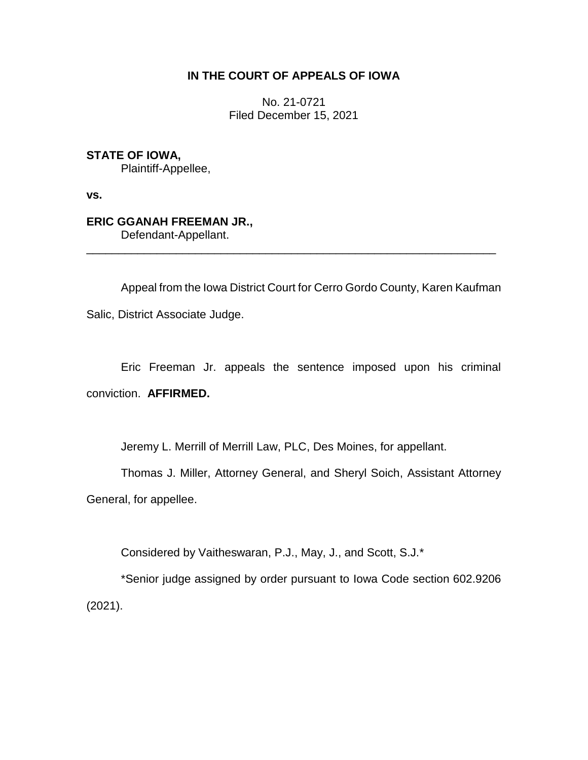# **IN THE COURT OF APPEALS OF IOWA**

No. 21-0721 Filed December 15, 2021

**STATE OF IOWA,** Plaintiff-Appellee,

**vs.**

**ERIC GGANAH FREEMAN JR.,**

Defendant-Appellant. \_\_\_\_\_\_\_\_\_\_\_\_\_\_\_\_\_\_\_\_\_\_\_\_\_\_\_\_\_\_\_\_\_\_\_\_\_\_\_\_\_\_\_\_\_\_\_\_\_\_\_\_\_\_\_\_\_\_\_\_\_\_\_\_

Appeal from the Iowa District Court for Cerro Gordo County, Karen Kaufman Salic, District Associate Judge.

Eric Freeman Jr. appeals the sentence imposed upon his criminal conviction. **AFFIRMED.**

Jeremy L. Merrill of Merrill Law, PLC, Des Moines, for appellant.

Thomas J. Miller, Attorney General, and Sheryl Soich, Assistant Attorney General, for appellee.

Considered by Vaitheswaran, P.J., May, J., and Scott, S.J.\*

\*Senior judge assigned by order pursuant to Iowa Code section 602.9206 (2021).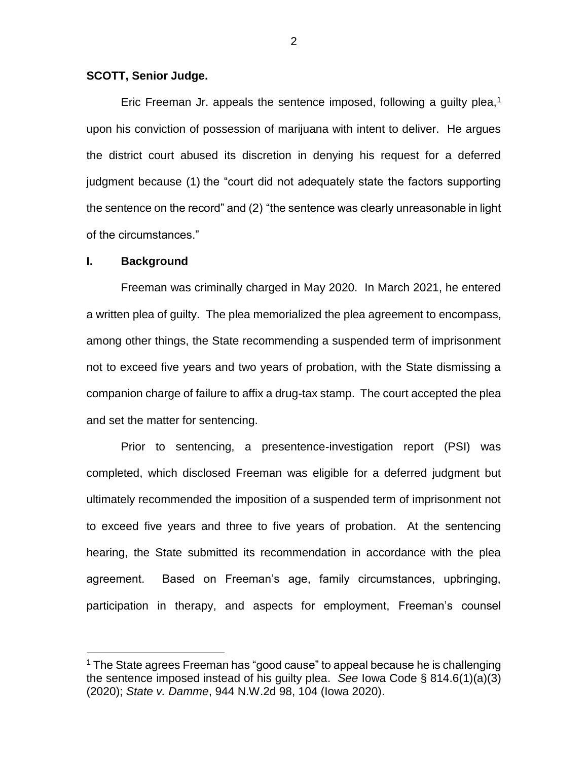## **SCOTT, Senior Judge.**

Eric Freeman Jr. appeals the sentence imposed, following a guilty plea, $1$ upon his conviction of possession of marijuana with intent to deliver. He argues the district court abused its discretion in denying his request for a deferred judgment because (1) the "court did not adequately state the factors supporting the sentence on the record" and (2) "the sentence was clearly unreasonable in light of the circumstances."

#### **I. Background**

 $\overline{a}$ 

Freeman was criminally charged in May 2020. In March 2021, he entered a written plea of guilty. The plea memorialized the plea agreement to encompass, among other things, the State recommending a suspended term of imprisonment not to exceed five years and two years of probation, with the State dismissing a companion charge of failure to affix a drug-tax stamp. The court accepted the plea and set the matter for sentencing.

Prior to sentencing, a presentence-investigation report (PSI) was completed, which disclosed Freeman was eligible for a deferred judgment but ultimately recommended the imposition of a suspended term of imprisonment not to exceed five years and three to five years of probation. At the sentencing hearing, the State submitted its recommendation in accordance with the plea agreement. Based on Freeman's age, family circumstances, upbringing, participation in therapy, and aspects for employment, Freeman's counsel

<sup>&</sup>lt;sup>1</sup> The State agrees Freeman has "good cause" to appeal because he is challenging the sentence imposed instead of his guilty plea. *See* Iowa Code § 814.6(1)(a)(3) (2020); *State v. Damme*, 944 N.W.2d 98, 104 (Iowa 2020).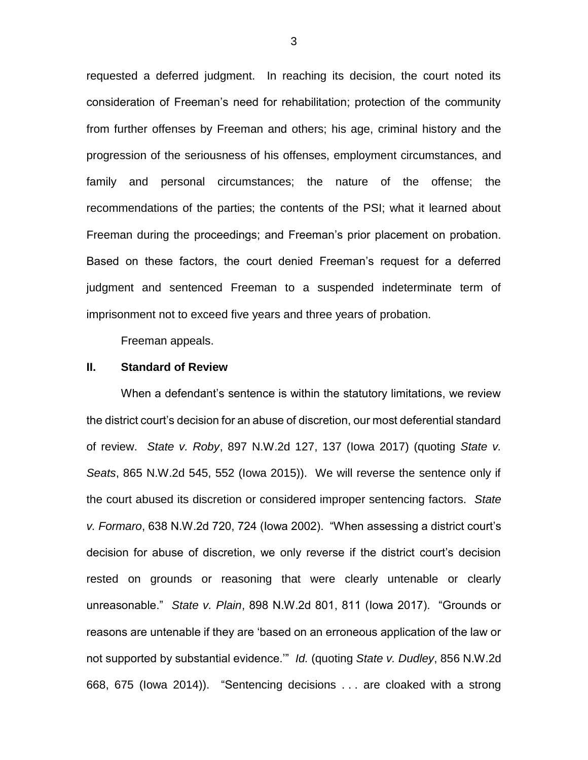requested a deferred judgment. In reaching its decision, the court noted its consideration of Freeman's need for rehabilitation; protection of the community from further offenses by Freeman and others; his age, criminal history and the progression of the seriousness of his offenses, employment circumstances, and family and personal circumstances; the nature of the offense; the recommendations of the parties; the contents of the PSI; what it learned about Freeman during the proceedings; and Freeman's prior placement on probation. Based on these factors, the court denied Freeman's request for a deferred judgment and sentenced Freeman to a suspended indeterminate term of imprisonment not to exceed five years and three years of probation.

Freeman appeals.

### **II. Standard of Review**

When a defendant's sentence is within the statutory limitations, we review the district court's decision for an abuse of discretion, our most deferential standard of review. *State v. Roby*, 897 N.W.2d 127, 137 (Iowa 2017) (quoting *State v. Seats*, 865 N.W.2d 545, 552 (Iowa 2015)). We will reverse the sentence only if the court abused its discretion or considered improper sentencing factors. *State v. Formaro*, 638 N.W.2d 720, 724 (Iowa 2002). "When assessing a district court's decision for abuse of discretion, we only reverse if the district court's decision rested on grounds or reasoning that were clearly untenable or clearly unreasonable." *State v. Plain*, 898 N.W.2d 801, 811 (Iowa 2017). "Grounds or reasons are untenable if they are 'based on an erroneous application of the law or not supported by substantial evidence.'" *Id.* (quoting *State v. Dudley*, 856 N.W.2d 668, 675 (Iowa 2014)). "Sentencing decisions . . . are cloaked with a strong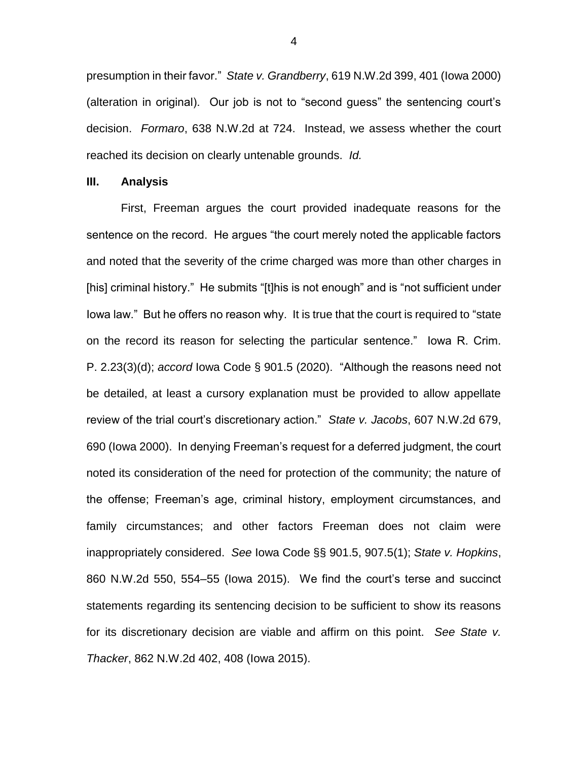presumption in their favor." *State v. Grandberry*, 619 N.W.2d 399, 401 (Iowa 2000) (alteration in original). Our job is not to "second guess" the sentencing court's decision. *Formaro*, 638 N.W.2d at 724. Instead, we assess whether the court reached its decision on clearly untenable grounds. *Id.*

#### **III. Analysis**

First, Freeman argues the court provided inadequate reasons for the sentence on the record. He argues "the court merely noted the applicable factors and noted that the severity of the crime charged was more than other charges in [his] criminal history." He submits "[t]his is not enough" and is "not sufficient under Iowa law." But he offers no reason why. It is true that the court is required to "state on the record its reason for selecting the particular sentence." Iowa R. Crim. P. 2.23(3)(d); *accord* Iowa Code § 901.5 (2020). "Although the reasons need not be detailed, at least a cursory explanation must be provided to allow appellate review of the trial court's discretionary action." *State v. Jacobs*, 607 N.W.2d 679, 690 (Iowa 2000). In denying Freeman's request for a deferred judgment, the court noted its consideration of the need for protection of the community; the nature of the offense; Freeman's age, criminal history, employment circumstances, and family circumstances; and other factors Freeman does not claim were inappropriately considered. *See* Iowa Code §§ 901.5, 907.5(1); *State v. Hopkins*, 860 N.W.2d 550, 554–55 (Iowa 2015). We find the court's terse and succinct statements regarding its sentencing decision to be sufficient to show its reasons for its discretionary decision are viable and affirm on this point. *See State v. Thacker*, 862 N.W.2d 402, 408 (Iowa 2015).